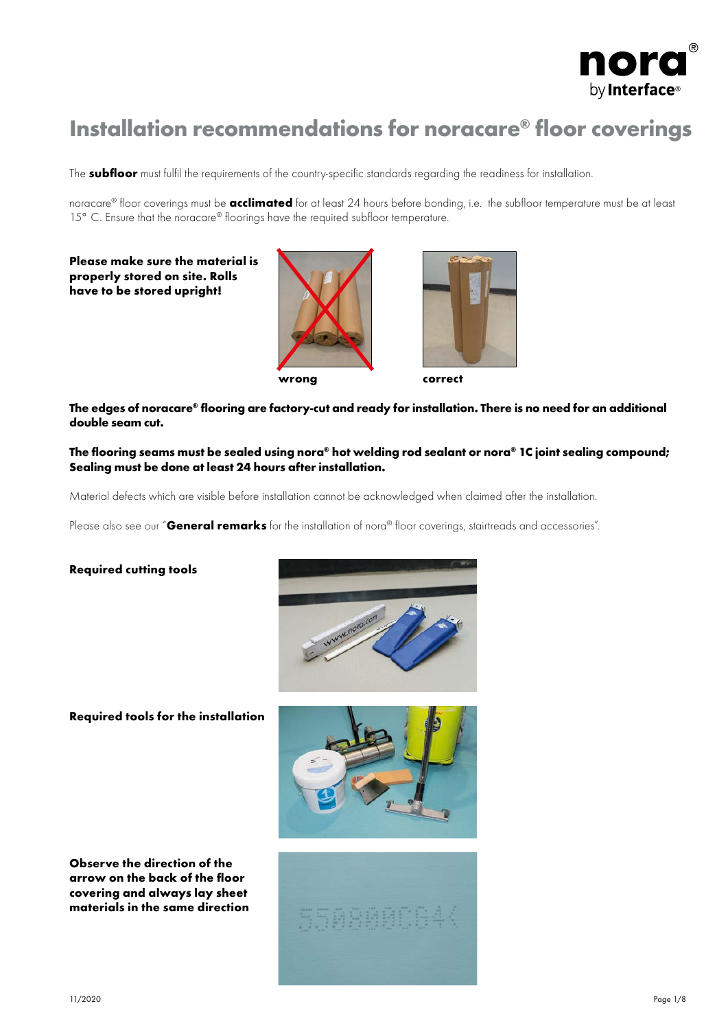

# Installation recommendations for noracare® floor coverings

The subfloor must fulfil the requirements of the country-specific standards regarding the readiness for installation.

noracare® floor coverings must be **acclimated** for at least 24 hours before bonding, i.e. the subfloor temperature must be at least 15° C. Ensure that the noracare® floorings have the required subfloor temperature.

### Please make sure the material is properly stored on site. Rolls have to be stored upright!





The edges of noracare® flooring are factory-cut and ready for installation. There is no need for an additional double seam cut.

The flooring seams must be sealed using nora® hot welding rod sealant or nora® 1C joint sealing compound; Sealing must be done at least 24 hours after installation.

Material defects which are visible before installation cannot be acknowledged when claimed after the installation.

Please also see our "General remarks for the installation of nora® floor coverings, stairtreads and accessories".

### Required cutting tools



Required tools for the installation



Observe the direction of the arrow on the back of the floor covering and always lay sheet materials in the same direction

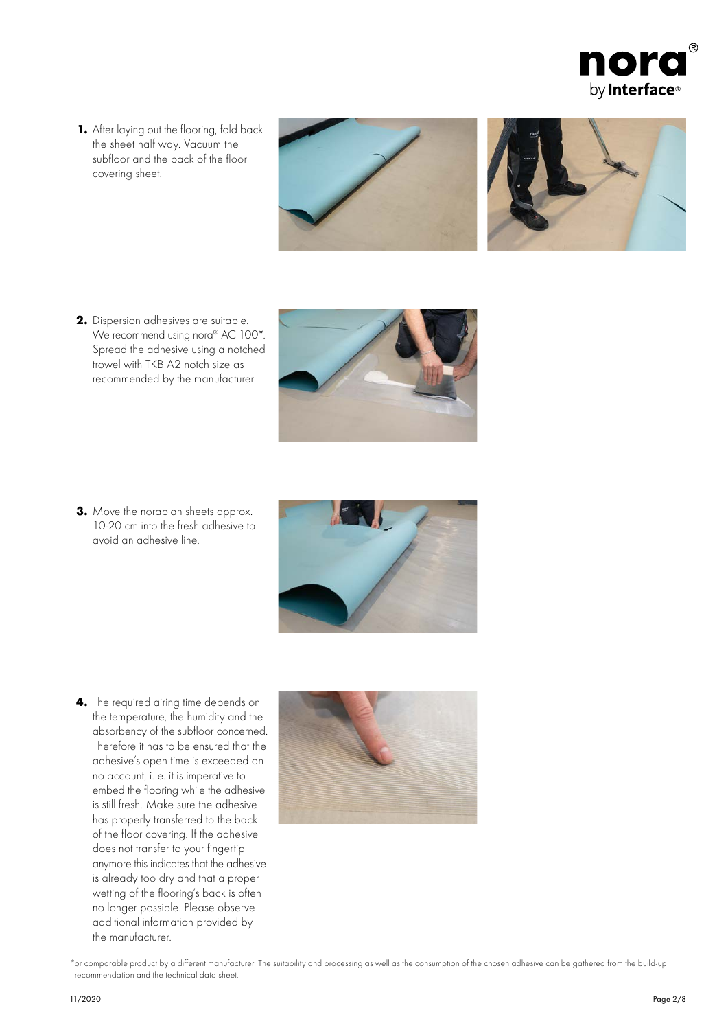

1. After laying out the flooring, fold back the sheet half way. Vacuum the subfloor and the back of the floor covering sheet.



2. Dispersion adhesives are suitable. We recommend using nora<sup>®</sup> AC 100<sup>\*</sup>. Spread the adhesive using a notched trowel with TKB A2 notch size as recommended by the manufacturer.



3. Move the noraplan sheets approx. 10-20 cm into the fresh adhesive to avoid an adhesive line.



4. The required airing time depends on the temperature, the humidity and the absorbency of the subfloor concerned. Therefore it has to be ensured that the adhesive's open time is exceeded on no account, i. e. it is imperative to embed the flooring while the adhesive is still fresh. Make sure the adhesive has properly transferred to the back of the floor covering. If the adhesive does not transfer to your fingertip anymore this indicates that the adhesive is already too dry and that a proper wetting of the flooring's back is often no longer possible. Please observe additional information provided by the manufacturer.



\*or comparable product by a different manufacturer. The suitability and processing as well as the consumption of the chosen adhesive can be gathered from the build-up recommendation and the technical data sheet.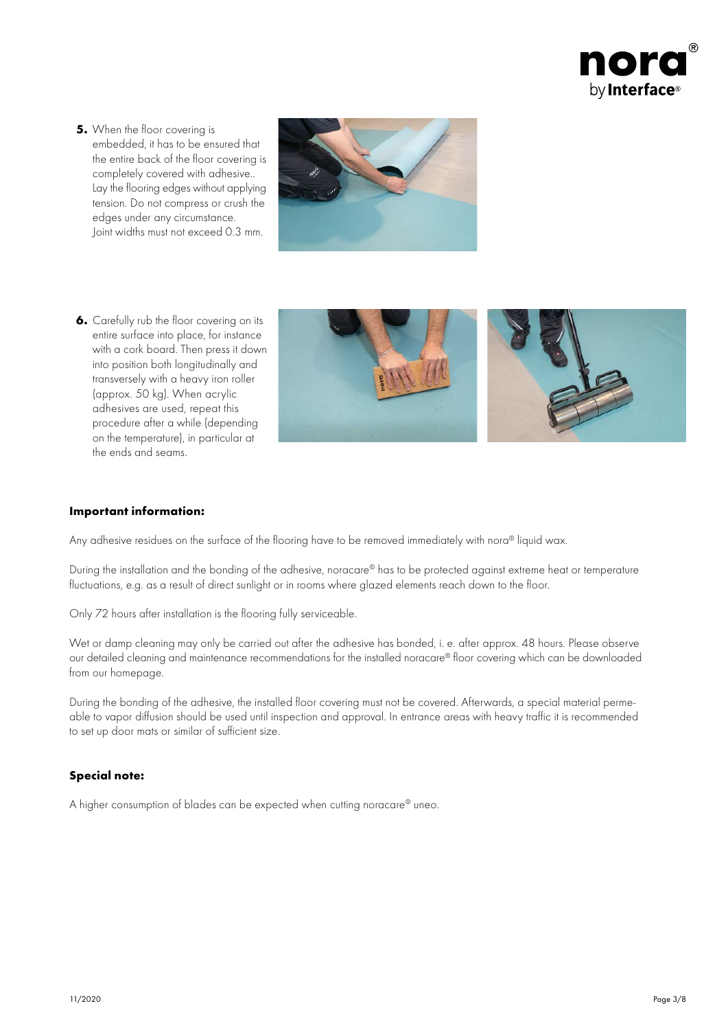

**5.** When the floor covering is embedded, it has to be ensured that the entire back of the floor covering is completely covered with adhesive.. Lay the flooring edges without applying tension. Do not compress or crush the edges under any circumstance. Joint widths must not exceed 0.3 mm.



**6.** Carefully rub the floor covering on its entire surface into place, for instance with a cork board. Then press it down into position both longitudinally and transversely with a heavy iron roller (approx. 50 kg). When acrylic adhesives are used, repeat this procedure after a while (depending on the temperature), in particular at the ends and seams.



### Important information:

Any adhesive residues on the surface of the flooring have to be removed immediately with nora® liquid wax.

During the installation and the bonding of the adhesive, noracare® has to be protected against extreme heat or temperature fluctuations, e.g. as a result of direct sunlight or in rooms where glazed elements reach down to the floor.

Only 72 hours after installation is the flooring fully serviceable.

Wet or damp cleaning may only be carried out after the adhesive has bonded, i. e. after approx. 48 hours. Please observe our detailed cleaning and maintenance recommendations for the installed noracare® floor covering which can be downloaded from our homepage.

During the bonding of the adhesive, the installed floor covering must not be covered. Afterwards, a special material permeable to vapor diffusion should be used until inspection and approval. In entrance areas with heavy traffic it is recommended to set up door mats or similar of sufficient size.

### Special note:

A higher consumption of blades can be expected when cutting noracare® uneo.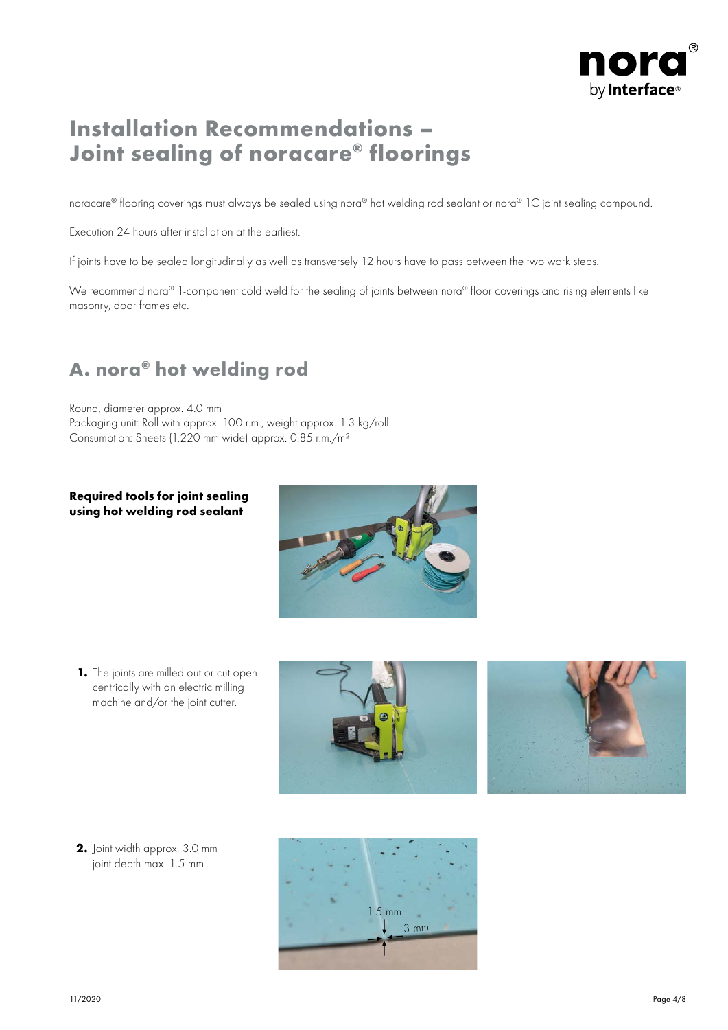

## Installation Recommendations – Joint sealing of noracare® floorings

noracare® flooring coverings must always be sealed using nora® hot welding rod sealant or nora® 1C joint sealing compound.

Execution 24 hours after installation at the earliest.

If joints have to be sealed longitudinally as well as transversely 12 hours have to pass between the two work steps.

We recommend nora<sup>®</sup> 1-component cold weld for the sealing of joints between nora<sup>®</sup> floor coverings and rising elements like masonry, door frames etc.

### A. nora® hot welding rod

Round, diameter approx. 4.0 mm Packaging unit: Roll with approx. 100 r.m., weight approx. 1.3 kg/roll Consumption: Sheets (1,220 mm wide) approx. 0.85 r.m./m²

### Required tools for joint sealing using hot welding rod sealant



1. The joints are milled out or cut open centrically with an electric milling machine and/or the joint cutter.





2. Joint width approx. 3.0 mm joint depth max. 1.5 mm

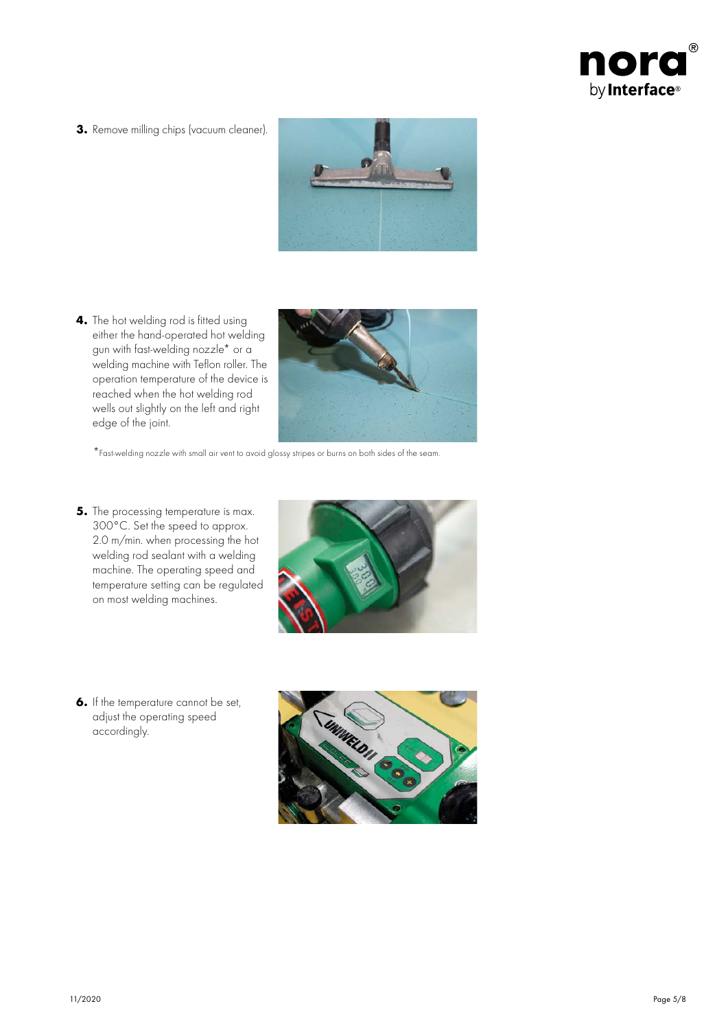

3. Remove milling chips (vacuum cleaner).



4. The hot welding rod is fitted using either the hand-operated hot welding gun with fast-welding nozzle\* or a welding machine with Teflon roller. The operation temperature of the device is reached when the hot welding rod wells out slightly on the left and right edge of the joint.



\*Fast-welding nozzle with small air vent to avoid glossy stripes or burns on both sides of the seam.

**5.** The processing temperature is max. 300°C. Set the speed to approx. 2.0 m/min. when processing the hot welding rod sealant with a welding machine. The operating speed and temperature setting can be regulated on most welding machines.



6. If the temperature cannot be set, adjust the operating speed accordingly.

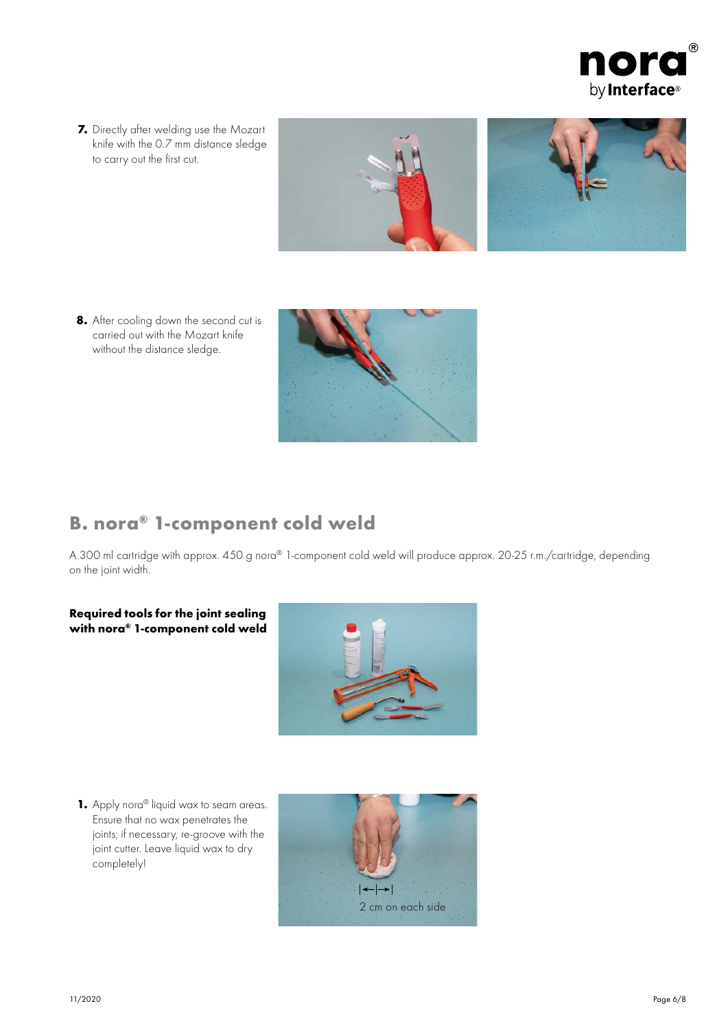

7. Directly after welding use the Mozart knife with the 0.7 mm distance sledge to carry out the first cut.



8. After cooling down the second cut is carried out with the Mozart knife without the distance sledge.



### B. nora® 1-component cold weld

A 300 ml cartridge with approx. 450 g nora® 1-component cold weld will produce approx. 20-25 r.m./cartridge, depending on the joint width.

### Required tools for the joint sealing with nora® 1-component cold weld



1. Apply nora<sup>®</sup> liquid wax to seam areas. Ensure that no wax penetrates the joints; if necessary, re-groove with the joint cutter. Leave liquid wax to dry completely!

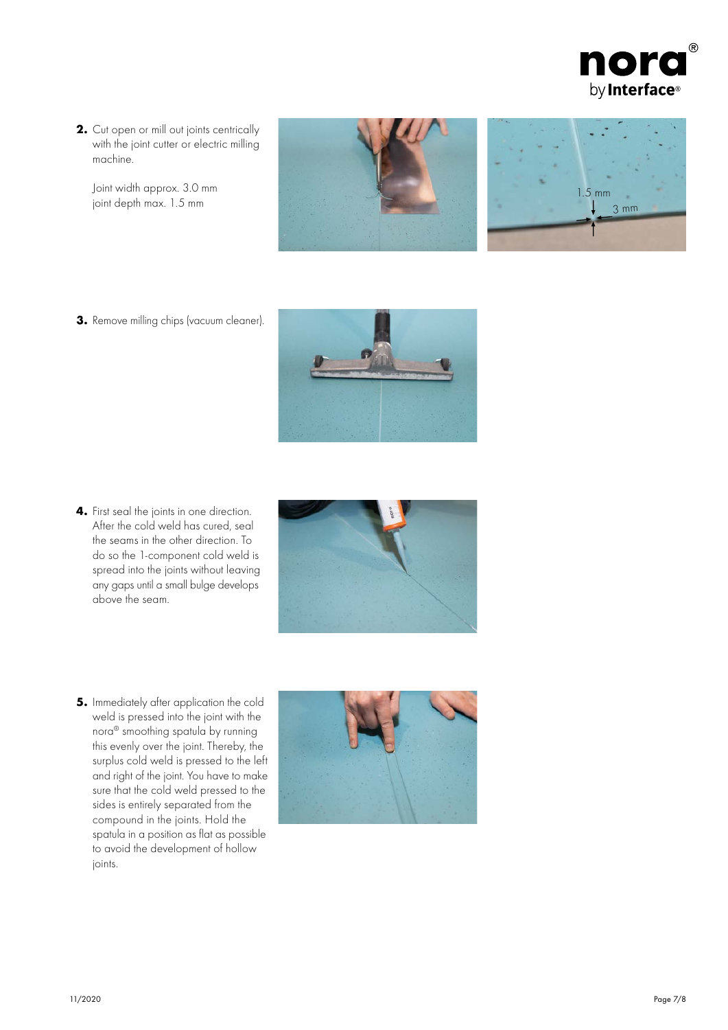

2. Cut open or mill out joints centrically with the joint cutter or electric milling machine.

Joint width approx. 3.0 mm joint depth max. 1.5 mm



$$
\begin{array}{c}\n1.5 \text{ mm} \\
1.5 \text{ mm}\n\end{array}
$$

3. Remove milling chips (vacuum cleaner).



4. First seal the joints in one direction. After the cold weld has cured, seal the seams in the other direction. To do so the 1-component cold weld is spread into the joints without leaving any gaps until a small bulge develops above the seam.



5. Immediately after application the cold weld is pressed into the joint with the nora® smoothing spatula by running this evenly over the joint. Thereby, the surplus cold weld is pressed to the left and right of the joint. You have to make sure that the cold weld pressed to the sides is entirely separated from the compound in the joints. Hold the spatula in a position as flat as possible to avoid the development of hollow joints.